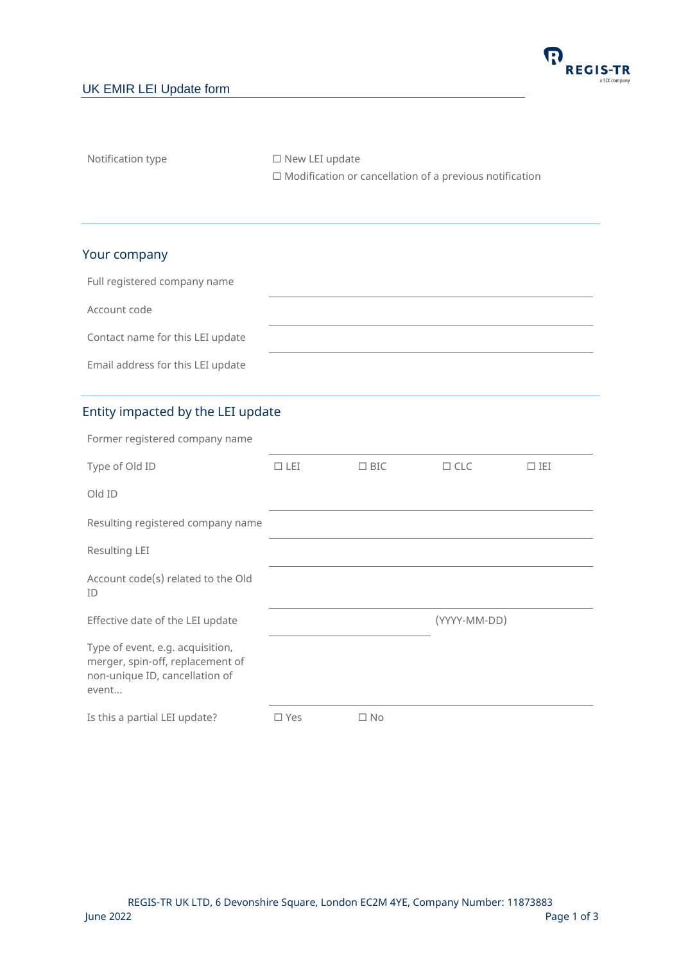## UK EMIR LEI Update form



Notification type □ New LEI update

 $\square$  Modification or cancellation of a previous notification

## Your company

| Full registered company name      |  |
|-----------------------------------|--|
| Account code                      |  |
| Contact name for this LEI update  |  |
| Email address for this LEI update |  |

## Entity impacted by the LEI update

| Former registered company name                                                                                  |               |            |              |            |
|-----------------------------------------------------------------------------------------------------------------|---------------|------------|--------------|------------|
| Type of Old ID                                                                                                  | $\Box$ LEI    | $\Box$ BIC | $\Box$ CLC   | $\Box$ IEI |
| Old ID                                                                                                          |               |            |              |            |
| Resulting registered company name                                                                               |               |            |              |            |
| Resulting LEI                                                                                                   |               |            |              |            |
| Account code(s) related to the Old<br>ID                                                                        |               |            |              |            |
| Effective date of the LEI update                                                                                |               |            | (YYYY-MM-DD) |            |
| Type of event, e.g. acquisition,<br>merger, spin-off, replacement of<br>non-unique ID, cancellation of<br>event |               |            |              |            |
| Is this a partial LEI update?                                                                                   | $\square$ Yes | $\Box$ No  |              |            |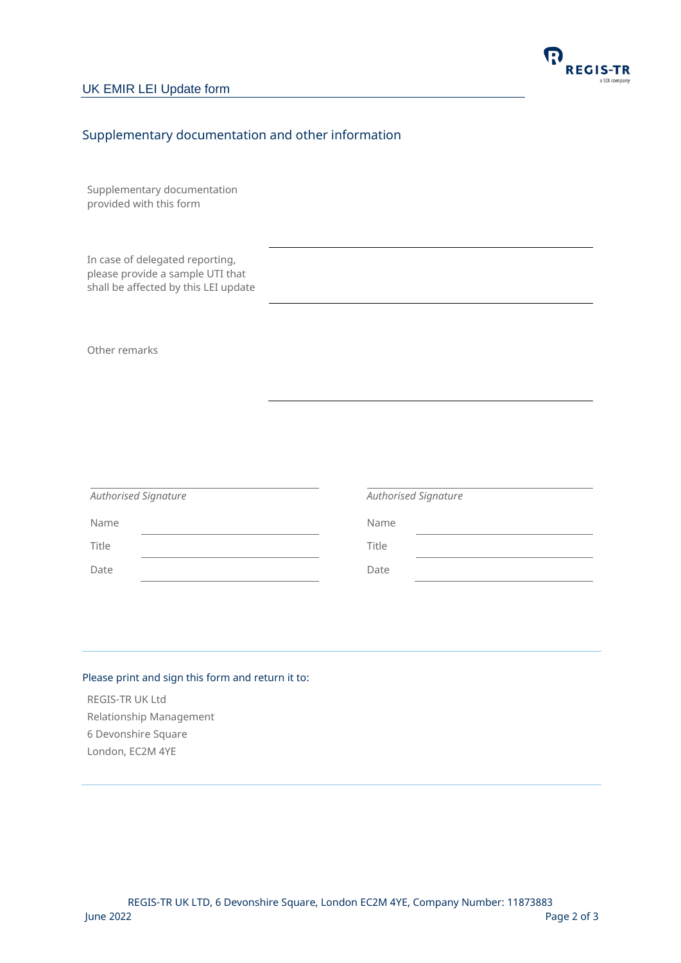

# Supplementary documentation and other information

Supplementary documentation provided with this form

In case of delegated reporting, please provide a sample UTI that shall be affected by this LEI update

Other remarks

|       | <b>Authorised Signature</b> |       | <b>Authorised Signature</b> |
|-------|-----------------------------|-------|-----------------------------|
| Name  |                             | Name  |                             |
| Title |                             | Title |                             |
| Date  |                             | Date  |                             |

#### Please print and sign this form and return it to:

REGIS-TR UK Ltd Relationship Management 6 Devonshire Square London, EC2M 4YE